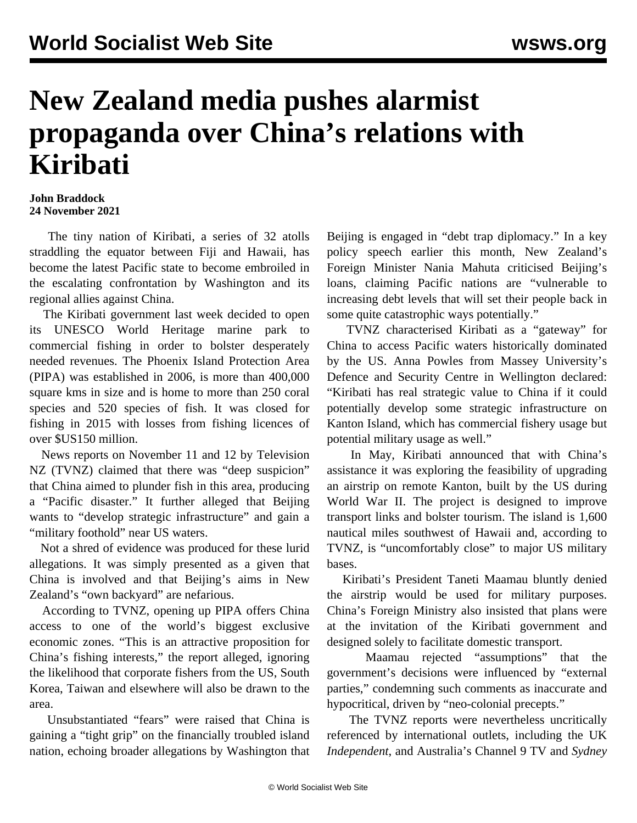## **New Zealand media pushes alarmist propaganda over China's relations with Kiribati**

## **John Braddock 24 November 2021**

 The tiny nation of Kiribati, a series of 32 atolls straddling the equator between Fiji and Hawaii, has become the latest Pacific state to become embroiled in the escalating confrontation by Washington and its regional allies against China.

 The Kiribati government last week decided to open its UNESCO World Heritage marine park to commercial fishing in order to bolster desperately needed revenues. The Phoenix Island Protection Area (PIPA) was established in 2006, is more than 400,000 square kms in size and is home to more than 250 coral species and 520 species of fish. It was closed for fishing in 2015 with losses from fishing licences of over \$US150 million.

 News reports on November 11 and 12 by Television NZ (TVNZ) claimed that there was "deep suspicion" that China aimed to plunder fish in this area, producing a "Pacific disaster." It further alleged that Beijing wants to "develop strategic infrastructure" and gain a "military foothold" near US waters.

 Not a shred of evidence was produced for these lurid allegations. It was simply presented as a given that China is involved and that Beijing's aims in New Zealand's "own backyard" are nefarious.

 According to TVNZ, opening up PIPA offers China access to one of the world's biggest exclusive economic zones. "This is an attractive proposition for China's fishing interests," the report alleged, ignoring the likelihood that corporate fishers from the US, South Korea, Taiwan and elsewhere will also be drawn to the area.

 Unsubstantiated "fears" were raised that China is gaining a "tight grip" on the financially troubled island nation, echoing broader allegations by Washington that Beijing is engaged in "debt trap diplomacy." In a key policy speech earlier this month, New Zealand's Foreign Minister Nania Mahuta criticised Beijing's loans, claiming Pacific nations are "vulnerable to increasing debt levels that will set their people back in some quite catastrophic ways potentially."

 TVNZ characterised Kiribati as a "gateway" for China to access Pacific waters historically dominated by the US. Anna Powles from Massey University's Defence and Security Centre in Wellington declared: "Kiribati has real strategic value to China if it could potentially develop some strategic infrastructure on Kanton Island, which has commercial fishery usage but potential military usage as well."

 In May, Kiribati announced that with China's assistance it was exploring the feasibility of upgrading an airstrip on remote Kanton, built by the US during World War II. The project is designed to improve transport links and bolster tourism. The island is 1,600 nautical miles southwest of Hawaii and, according to TVNZ, is "uncomfortably close" to major US military bases.

 Kiribati's President Taneti Maamau bluntly denied the airstrip would be used for military purposes. China's Foreign Ministry also insisted that plans were at the invitation of the Kiribati government and designed solely to facilitate domestic transport.

 Maamau rejected "assumptions" that the government's decisions were influenced by "external parties," condemning such comments as inaccurate and hypocritical, driven by "neo-colonial precepts."

 The TVNZ reports were nevertheless uncritically referenced by international outlets, including the UK *Independent*, and Australia's Channel 9 TV and *Sydney*